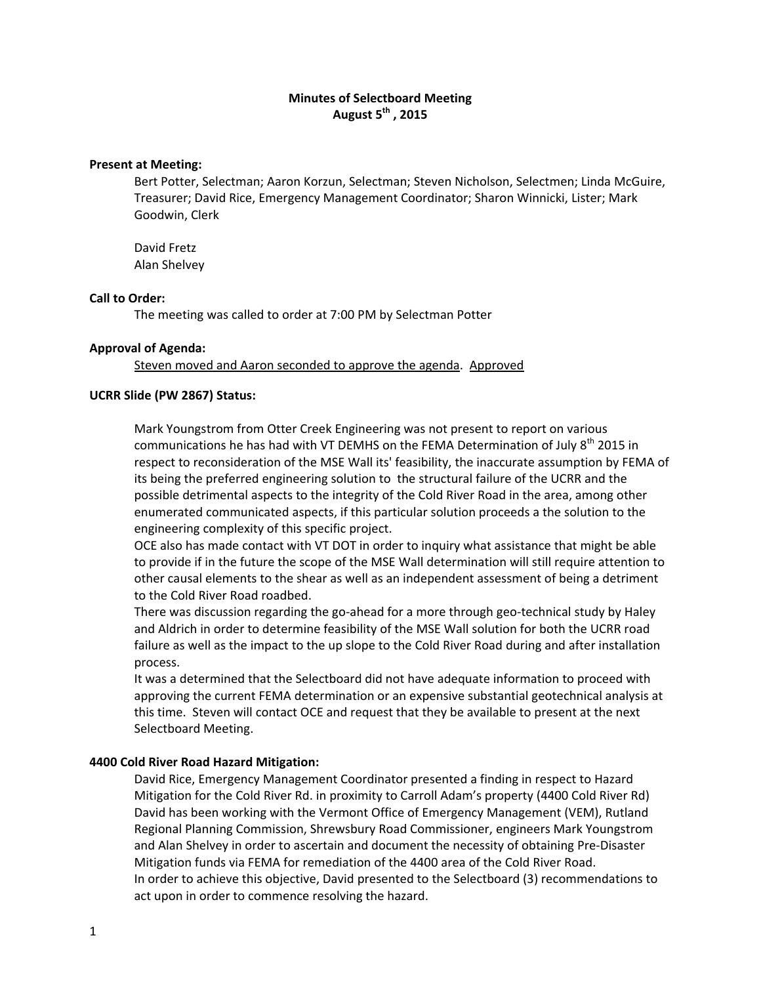# **Minutes of Selectboard Meeting August 5th , 2015**

### **Present at Meeting:**

Bert Potter, Selectman; Aaron Korzun, Selectman; Steven Nicholson, Selectmen; Linda McGuire, Treasurer; David Rice, Emergency Management Coordinator; Sharon Winnicki, Lister; Mark Goodwin, Clerk

David Fretz Alan Shelvey

### **Call to Order:**

The meeting was called to order at 7:00 PM by Selectman Potter

### **Approval of Agenda:**

Steven moved and Aaron seconded to approve the agenda. Approved

## **UCRR Slide (PW 2867) Status:**

Mark Youngstrom from Otter Creek Engineering was not present to report on various communications he has had with VT DEMHS on the FEMA Determination of July  $8^{th}$  2015 in respect to reconsideration of the MSE Wall its' feasibility, the inaccurate assumption by FEMA of its being the preferred engineering solution to the structural failure of the UCRR and the possible detrimental aspects to the integrity of the Cold River Road in the area, among other enumerated communicated aspects, if this particular solution proceeds a the solution to the engineering complexity of this specific project.

OCE also has made contact with VT DOT in order to inquiry what assistance that might be able to provide if in the future the scope of the MSE Wall determination will still require attention to other causal elements to the shear as well as an independent assessment of being a detriment to the Cold River Road roadbed.

There was discussion regarding the go-ahead for a more through geo-technical study by Haley and Aldrich in order to determine feasibility of the MSE Wall solution for both the UCRR road failure as well as the impact to the up slope to the Cold River Road during and after installation process.

It was a determined that the Selectboard did not have adequate information to proceed with approving the current FEMA determination or an expensive substantial geotechnical analysis at this time. Steven will contact OCE and request that they be available to present at the next Selectboard Meeting.

## **4400 Cold River Road Hazard Mitigation:**

David Rice, Emergency Management Coordinator presented a finding in respect to Hazard Mitigation for the Cold River Rd. in proximity to Carroll Adam's property (4400 Cold River Rd) David has been working with the Vermont Office of Emergency Management (VEM), Rutland Regional Planning Commission, Shrewsbury Road Commissioner, engineers Mark Youngstrom and Alan Shelvey in order to ascertain and document the necessity of obtaining Pre‐Disaster Mitigation funds via FEMA for remediation of the 4400 area of the Cold River Road. In order to achieve this objective, David presented to the Selectboard (3) recommendations to act upon in order to commence resolving the hazard.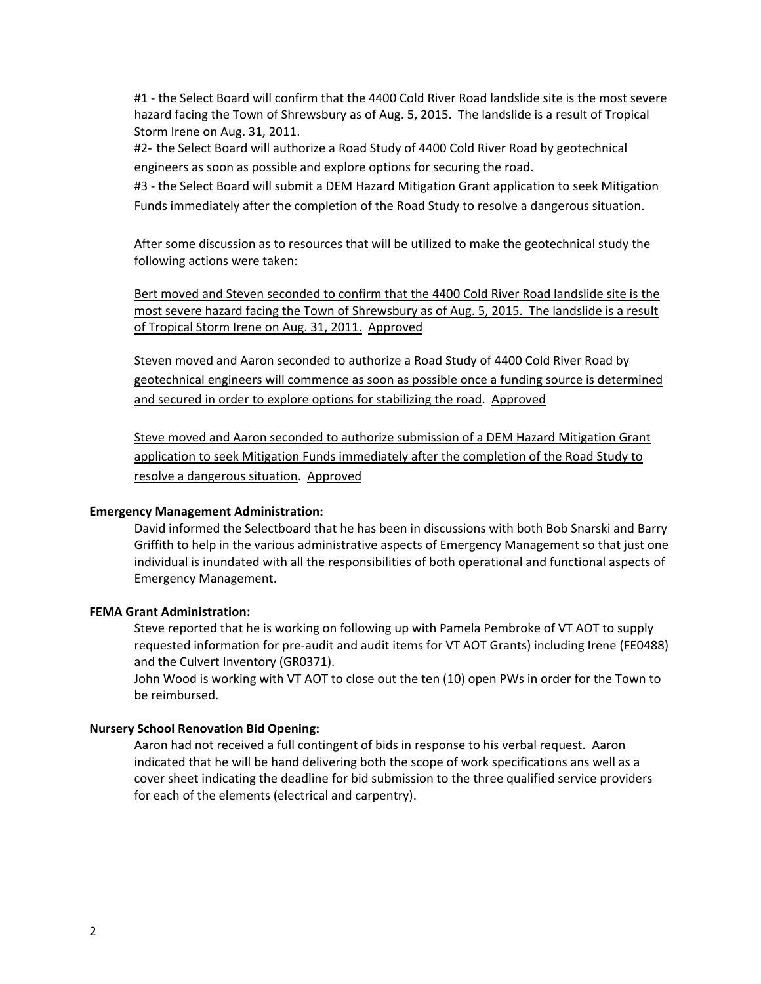#1 ‐ the Select Board will confirm that the 4400 Cold River Road landslide site is the most severe hazard facing the Town of Shrewsbury as of Aug. 5, 2015. The landslide is a result of Tropical Storm Irene on Aug. 31, 2011.

#2‐ the Select Board will authorize a Road Study of 4400 Cold River Road by geotechnical engineers as soon as possible and explore options for securing the road.

#3 - the Select Board will submit a DEM Hazard Mitigation Grant application to seek Mitigation Funds immediately after the completion of the Road Study to resolve a dangerous situation.

After some discussion as to resources that will be utilized to make the geotechnical study the following actions were taken:

Bert moved and Steven seconded to confirm that the 4400 Cold River Road landslide site is the most severe hazard facing the Town of Shrewsbury as of Aug. 5, 2015. The landslide is a result of Tropical Storm Irene on Aug. 31, 2011. Approved

Steven moved and Aaron seconded to authorize a Road Study of 4400 Cold River Road by geotechnical engineers will commence as soon as possible once a funding source is determined and secured in order to explore options for stabilizing the road. Approved

Steve moved and Aaron seconded to authorize submission of a DEM Hazard Mitigation Grant application to seek Mitigation Funds immediately after the completion of the Road Study to resolve a dangerous situation. Approved

## **Emergency Management Administration:**

David informed the Selectboard that he has been in discussions with both Bob Snarski and Barry Griffith to help in the various administrative aspects of Emergency Management so that just one individual is inundated with all the responsibilities of both operational and functional aspects of Emergency Management.

### **FEMA Grant Administration:**

Steve reported that he is working on following up with Pamela Pembroke of VT AOT to supply requested information for pre‐audit and audit items for VT AOT Grants) including Irene (FE0488) and the Culvert Inventory (GR0371).

John Wood is working with VT AOT to close out the ten (10) open PWs in order for the Town to be reimbursed.

#### **Nursery School Renovation Bid Opening:**

Aaron had not received a full contingent of bids in response to his verbal request. Aaron indicated that he will be hand delivering both the scope of work specifications ans well as a cover sheet indicating the deadline for bid submission to the three qualified service providers for each of the elements (electrical and carpentry).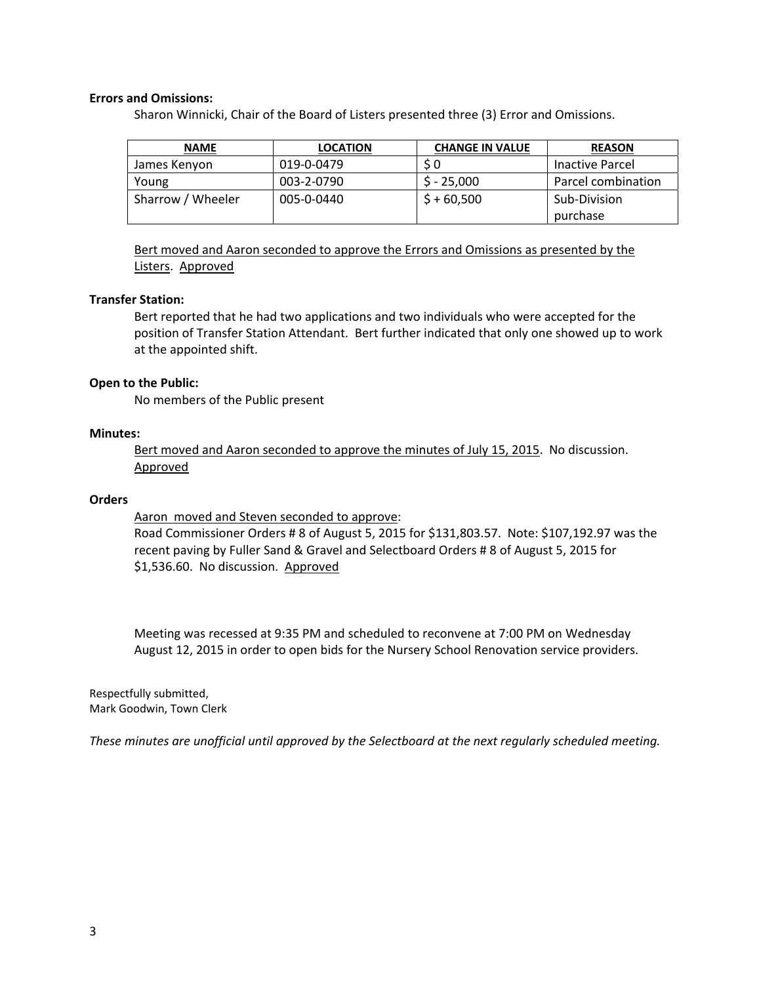# **Errors and Omissions:**

Sharon Winnicki, Chair of the Board of Listers presented three (3) Error and Omissions.

| <b>NAME</b>       | <b>LOCATION</b> | <b>CHANGE IN VALUE</b> | <b>REASON</b>      |
|-------------------|-----------------|------------------------|--------------------|
| James Kenyon      | 019-0-0479      |                        | Inactive Parcel    |
| Young             | 003-2-0790      | $$ -25,000$            | Parcel combination |
| Sharrow / Wheeler | 005-0-0440      | $$+60,500$             | Sub-Division       |
|                   |                 |                        | purchase           |

Bert moved and Aaron seconded to approve the Errors and Omissions as presented by the Listers. Approved

## **Transfer Station:**

Bert reported that he had two applications and two individuals who were accepted for the position of Transfer Station Attendant. Bert further indicated that only one showed up to work at the appointed shift.

# **Open to the Public:**

No members of the Public present

# **Minutes:**

Bert moved and Aaron seconded to approve the minutes of July 15, 2015. No discussion. Approved

# **Orders**

Aaron moved and Steven seconded to approve:

Road Commissioner Orders # 8 of August 5, 2015 for \$131,803.57. Note: \$107,192.97 was the recent paving by Fuller Sand & Gravel and Selectboard Orders # 8 of August 5, 2015 for \$1,536.60. No discussion. Approved

Meeting was recessed at 9:35 PM and scheduled to reconvene at 7:00 PM on Wednesday August 12, 2015 in order to open bids for the Nursery School Renovation service providers.

Respectfully submitted, Mark Goodwin, Town Clerk

*These minutes are unofficial until approved by the Selectboard at the next regularly scheduled meeting.*